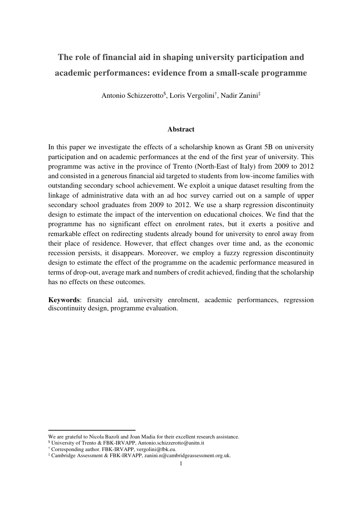# **The role of financial aid in shaping university participation and academic performances: evidence from a small-scale programme**

Antonio Schizzerotto\$ , Loris Vergolini† , Nadir Zanini‡

## **Abstract**

In this paper we investigate the effects of a scholarship known as Grant 5B on university participation and on academic performances at the end of the first year of university. This programme was active in the province of Trento (North-East of Italy) from 2009 to 2012 and consisted in a generous financial aid targeted to students from low-income families with outstanding secondary school achievement. We exploit a unique dataset resulting from the linkage of administrative data with an ad hoc survey carried out on a sample of upper secondary school graduates from 2009 to 2012. We use a sharp regression discontinuity design to estimate the impact of the intervention on educational choices. We find that the programme has no significant effect on enrolment rates, but it exerts a positive and remarkable effect on redirecting students already bound for university to enrol away from their place of residence. However, that effect changes over time and, as the economic recession persists, it disappears. Moreover, we employ a fuzzy regression discontinuity design to estimate the effect of the programme on the academic performance measured in terms of drop-out, average mark and numbers of credit achieved, finding that the scholarship has no effects on these outcomes.

**Keywords**: financial aid, university enrolment, academic performances, regression discontinuity design, programme evaluation.

 $\overline{a}$ 

We are grateful to Nicola Bazoli and Joan Madia for their excellent research assistance.

<sup>\$</sup> University of Trento & FBK-IRVAPP, Antonio.schizzerotto@unitn.it

<sup>†</sup> Corresponding author. FBK-IRVAPP, vergolini@fbk.eu.

<sup>‡</sup> Cambridge Assessment & FBK-IRVAPP, zanini.n@cambridgeassessment.org.uk.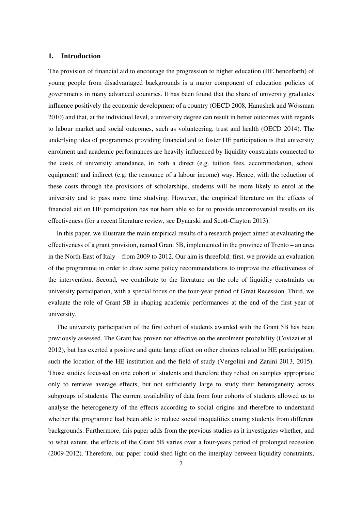## **1. Introduction**

The provision of financial aid to encourage the progression to higher education (HE henceforth) of young people from disadvantaged backgrounds is a major component of education policies of governments in many advanced countries. It has been found that the share of university graduates influence positively the economic development of a country (OECD 2008, Hanushek and Wössman 2010) and that, at the individual level, a university degree can result in better outcomes with regards to labour market and social outcomes, such as volunteering, trust and health (OECD 2014). The underlying idea of programmes providing financial aid to foster HE participation is that university enrolment and academic performances are heavily influenced by liquidity constraints connected to the costs of university attendance, in both a direct (e.g. tuition fees, accommodation, school equipment) and indirect (e.g. the renounce of a labour income) way. Hence, with the reduction of these costs through the provisions of scholarships, students will be more likely to enrol at the university and to pass more time studying. However, the empirical literature on the effects of financial aid on HE participation has not been able so far to provide uncontroversial results on its effectiveness (for a recent literature review, see Dynarski and Scott-Clayton 2013).

In this paper, we illustrate the main empirical results of a research project aimed at evaluating the effectiveness of a grant provision, named Grant 5B, implemented in the province of Trento – an area in the North-East of Italy – from 2009 to 2012. Our aim is threefold: first, we provide an evaluation of the programme in order to draw some policy recommendations to improve the effectiveness of the intervention. Second, we contribute to the literature on the role of liquidity constraints on university participation, with a special focus on the four-year period of Great Recession. Third, we evaluate the role of Grant 5B in shaping academic performances at the end of the first year of university.

The university participation of the first cohort of students awarded with the Grant 5B has been previously assessed. The Grant has proven not effective on the enrolment probability (Covizzi et al. 2012), but has exerted a positive and quite large effect on other choices related to HE participation, such the location of the HE institution and the field of study (Vergolini and Zanini 2013, 2015). Those studies focussed on one cohort of students and therefore they relied on samples appropriate only to retrieve average effects, but not sufficiently large to study their heterogeneity across subgroups of students. The current availability of data from four cohorts of students allowed us to analyse the heterogeneity of the effects according to social origins and therefore to understand whether the programme had been able to reduce social inequalities among students from different backgrounds. Furthermore, this paper adds from the previous studies as it investigates whether, and to what extent, the effects of the Grant 5B varies over a four-years period of prolonged recession (2009-2012). Therefore, our paper could shed light on the interplay between liquidity constraints,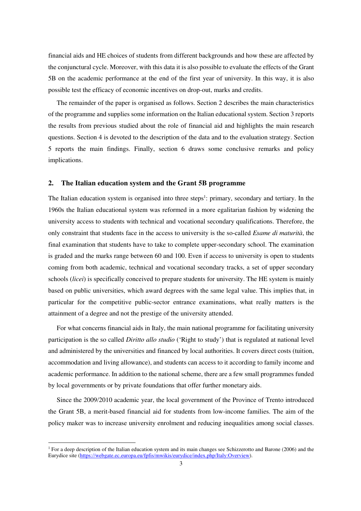financial aids and HE choices of students from different backgrounds and how these are affected by the conjunctural cycle. Moreover, with this data it is also possible to evaluate the effects of the Grant 5B on the academic performance at the end of the first year of university. In this way, it is also possible test the efficacy of economic incentives on drop-out, marks and credits.

The remainder of the paper is organised as follows. Section 2 describes the main characteristics of the programme and supplies some information on the Italian educational system. Section 3 reports the results from previous studied about the role of financial aid and highlights the main research questions. Section 4 is devoted to the description of the data and to the evaluation strategy. Section 5 reports the main findings. Finally, section 6 draws some conclusive remarks and policy implications.

## **2. The Italian education system and the Grant 5B programme**

The Italian education system is organised into three steps<sup>1</sup>: primary, secondary and tertiary. In the 1960s the Italian educational system was reformed in a more egalitarian fashion by widening the university access to students with technical and vocational secondary qualifications. Therefore, the only constraint that students face in the access to university is the so-called *Esame di maturità*, the final examination that students have to take to complete upper-secondary school. The examination is graded and the marks range between 60 and 100. Even if access to university is open to students coming from both academic, technical and vocational secondary tracks, a set of upper secondary schools (*licei*) is specifically conceived to prepare students for university. The HE system is mainly based on public universities, which award degrees with the same legal value. This implies that, in particular for the competitive public-sector entrance examinations, what really matters is the attainment of a degree and not the prestige of the university attended.

For what concerns financial aids in Italy, the main national programme for facilitating university participation is the so called *Diritto allo studio* ('Right to study') that is regulated at national level and administered by the universities and financed by local authorities. It covers direct costs (tuition, accommodation and living allowance), and students can access to it according to family income and academic performance. In addition to the national scheme, there are a few small programmes funded by local governments or by private foundations that offer further monetary aids.

Since the 2009/2010 academic year, the local government of the Province of Trento introduced the Grant 5B, a merit-based financial aid for students from low-income families. The aim of the policy maker was to increase university enrolment and reducing inequalities among social classes.

 $\overline{a}$ 

<sup>&</sup>lt;sup>1</sup> For a deep description of the Italian education system and its main changes see Schizzerotto and Barone (2006) and the Eurydice site (https://webgate.ec.europa.eu/fpfis/mwikis/eurydice/index.php/Italy:Overview).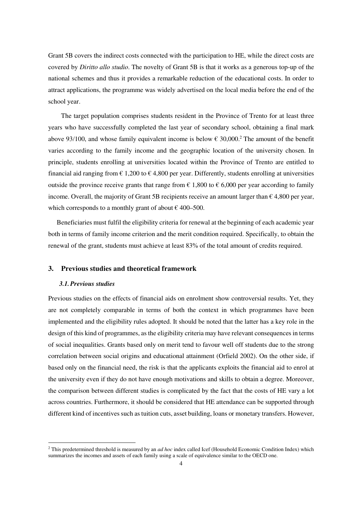Grant 5B covers the indirect costs connected with the participation to HE, while the direct costs are covered by *Diritto allo studio*. The novelty of Grant 5B is that it works as a generous top-up of the national schemes and thus it provides a remarkable reduction of the educational costs. In order to attract applications, the programme was widely advertised on the local media before the end of the school year.

The target population comprises students resident in the Province of Trento for at least three years who have successfully completed the last year of secondary school, obtaining a final mark above 93/100, and whose family equivalent income is below  $\epsilon$  30,000.<sup>2</sup> The amount of the benefit varies according to the family income and the geographic location of the university chosen. In principle, students enrolling at universities located within the Province of Trento are entitled to financial aid ranging from  $\epsilon$  1,200 to  $\epsilon$  4,800 per year. Differently, students enrolling at universities outside the province receive grants that range from  $\epsilon$  1,800 to  $\epsilon$  6,000 per year according to family income. Overall, the majority of Grant 5B recipients receive an amount larger than  $\epsilon$  4,800 per year, which corresponds to a monthly grant of about  $\epsilon$  400–500.

Beneficiaries must fulfil the eligibility criteria for renewal at the beginning of each academic year both in terms of family income criterion and the merit condition required. Specifically, to obtain the renewal of the grant, students must achieve at least 83% of the total amount of credits required.

## **3. Previous studies and theoretical framework**

#### *3.1.Previous studies*

 $\overline{a}$ 

Previous studies on the effects of financial aids on enrolment show controversial results. Yet, they are not completely comparable in terms of both the context in which programmes have been implemented and the eligibility rules adopted. It should be noted that the latter has a key role in the design of this kind of programmes, as the eligibility criteria may have relevant consequences in terms of social inequalities. Grants based only on merit tend to favour well off students due to the strong correlation between social origins and educational attainment (Orfield 2002). On the other side, if based only on the financial need, the risk is that the applicants exploits the financial aid to enrol at the university even if they do not have enough motivations and skills to obtain a degree. Moreover, the comparison between different studies is complicated by the fact that the costs of HE vary a lot across countries. Furthermore, it should be considered that HE attendance can be supported through different kind of incentives such as tuition cuts, asset building, loans or monetary transfers. However,

<sup>2</sup> This predetermined threshold is measured by an *ad hoc* index called Icef (Household Economic Condition Index) which summarizes the incomes and assets of each family using a scale of equivalence similar to the OECD one.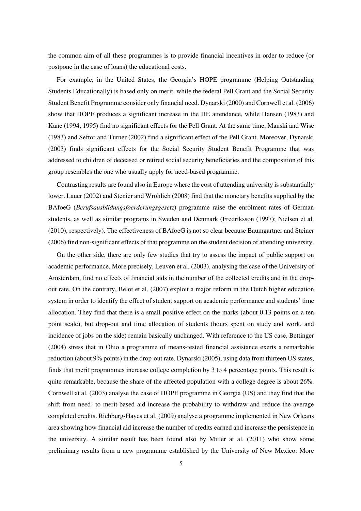the common aim of all these programmes is to provide financial incentives in order to reduce (or postpone in the case of loans) the educational costs.

For example, in the United States, the Georgia's HOPE programme (Helping Outstanding Students Educationally) is based only on merit, while the federal Pell Grant and the Social Security Student Benefit Programme consider only financial need. Dynarski (2000) and Cornwell et al. (2006) show that HOPE produces a significant increase in the HE attendance, while Hansen (1983) and Kane (1994, 1995) find no significant effects for the Pell Grant. At the same time, Manski and Wise (1983) and Seftor and Turner (2002) find a significant effect of the Pell Grant. Moreover, Dynarski (2003) finds significant effects for the Social Security Student Benefit Programme that was addressed to children of deceased or retired social security beneficiaries and the composition of this group resembles the one who usually apply for need-based programme.

Contrasting results are found also in Europe where the cost of attending university is substantially lower. Lauer (2002) and Stenier and Wrohlich (2008) find that the monetary benefits supplied by the BAfoeG (*Berufsausbildungsfoerderungsgesetz*) programme raise the enrolment rates of German students, as well as similar programs in Sweden and Denmark (Fredriksson (1997); Nielsen et al. (2010), respectively). The effectiveness of BAfoeG is not so clear because Baumgartner and Steiner (2006) find non-significant effects of that programme on the student decision of attending university.

On the other side, there are only few studies that try to assess the impact of public support on academic performance. More precisely, Leuven et al. (2003), analysing the case of the University of Amsterdam, find no effects of financial aids in the number of the collected credits and in the dropout rate. On the contrary, Belot et al. (2007) exploit a major reform in the Dutch higher education system in order to identify the effect of student support on academic performance and students' time allocation. They find that there is a small positive effect on the marks (about 0.13 points on a ten point scale), but drop-out and time allocation of students (hours spent on study and work, and incidence of jobs on the side) remain basically unchanged. With reference to the US case, Bettinger (2004) stress that in Ohio a programme of means-tested financial assistance exerts a remarkable reduction (about 9% points) in the drop-out rate. Dynarski (2005), using data from thirteen US states, finds that merit programmes increase college completion by 3 to 4 percentage points. This result is quite remarkable, because the share of the affected population with a college degree is about 26%. Cornwell at al. (2003) analyse the case of HOPE programme in Georgia (US) and they find that the shift from need- to merit-based aid increase the probability to withdraw and reduce the average completed credits. Richburg-Hayes et al. (2009) analyse a programme implemented in New Orleans area showing how financial aid increase the number of credits earned and increase the persistence in the university. A similar result has been found also by Miller at al. (2011) who show some preliminary results from a new programme established by the University of New Mexico. More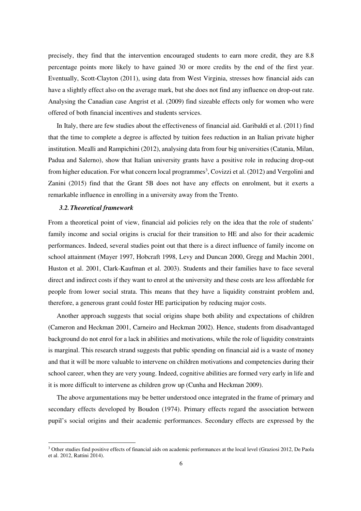precisely, they find that the intervention encouraged students to earn more credit, they are 8.8 percentage points more likely to have gained 30 or more credits by the end of the first year. Eventually, Scott-Clayton (2011), using data from West Virginia, stresses how financial aids can have a slightly effect also on the average mark, but she does not find any influence on drop-out rate. Analysing the Canadian case Angrist et al. (2009) find sizeable effects only for women who were offered of both financial incentives and students services.

In Italy, there are few studies about the effectiveness of financial aid. Garibaldi et al. (2011) find that the time to complete a degree is affected by tuition fees reduction in an Italian private higher institution. Mealli and Rampichini (2012), analysing data from four big universities (Catania, Milan, Padua and Salerno), show that Italian university grants have a positive role in reducing drop-out from higher education. For what concern local programmes<sup>3</sup>, Covizzi et al. (2012) and Vergolini and Zanini (2015) find that the Grant 5B does not have any effects on enrolment, but it exerts a remarkable influence in enrolling in a university away from the Trento.

#### *3.2.Theoretical framework*

 $\overline{a}$ 

From a theoretical point of view, financial aid policies rely on the idea that the role of students' family income and social origins is crucial for their transition to HE and also for their academic performances. Indeed, several studies point out that there is a direct influence of family income on school attainment (Mayer 1997, Hobcraft 1998, Levy and Duncan 2000, Gregg and Machin 2001, Huston et al. 2001, Clark-Kaufman et al. 2003). Students and their families have to face several direct and indirect costs if they want to enrol at the university and these costs are less affordable for people from lower social strata. This means that they have a liquidity constraint problem and, therefore, a generous grant could foster HE participation by reducing major costs.

Another approach suggests that social origins shape both ability and expectations of children (Cameron and Heckman 2001, Carneiro and Heckman 2002). Hence, students from disadvantaged background do not enrol for a lack in abilities and motivations, while the role of liquidity constraints is marginal. This research strand suggests that public spending on financial aid is a waste of money and that it will be more valuable to intervene on children motivations and competencies during their school career, when they are very young. Indeed, cognitive abilities are formed very early in life and it is more difficult to intervene as children grow up (Cunha and Heckman 2009).

The above argumentations may be better understood once integrated in the frame of primary and secondary effects developed by Boudon (1974). Primary effects regard the association between pupil's social origins and their academic performances. Secondary effects are expressed by the

<sup>&</sup>lt;sup>3</sup> Other studies find positive effects of financial aids on academic performances at the local level (Graziosi 2012, De Paola et al. 2012, Rattini 2014).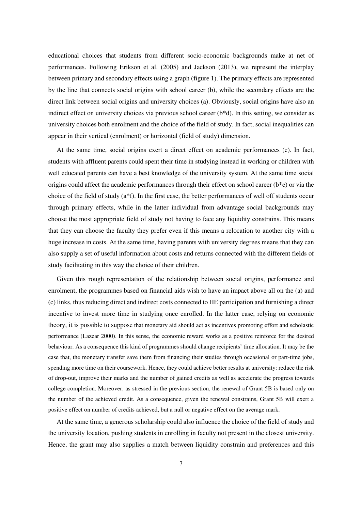educational choices that students from different socio-economic backgrounds make at net of performances. Following Erikson et al. (2005) and Jackson (2013), we represent the interplay between primary and secondary effects using a graph (figure 1). The primary effects are represented by the line that connects social origins with school career (b), while the secondary effects are the direct link between social origins and university choices (a). Obviously, social origins have also an indirect effect on university choices via previous school career (b\*d). In this setting, we consider as university choices both enrolment and the choice of the field of study. In fact, social inequalities can appear in their vertical (enrolment) or horizontal (field of study) dimension.

At the same time, social origins exert a direct effect on academic performances (c). In fact, students with affluent parents could spent their time in studying instead in working or children with well educated parents can have a best knowledge of the university system. At the same time social origins could affect the academic performances through their effect on school career (b\*e) or via the choice of the field of study  $(a*f)$ . In the first case, the better performances of well off students occur through primary effects, while in the latter individual from advantage social backgrounds may choose the most appropriate field of study not having to face any liquidity constrains. This means that they can choose the faculty they prefer even if this means a relocation to another city with a huge increase in costs. At the same time, having parents with university degrees means that they can also supply a set of useful information about costs and returns connected with the different fields of study facilitating in this way the choice of their children.

Given this rough representation of the relationship between social origins, performance and enrolment, the programmes based on financial aids wish to have an impact above all on the (a) and (c) links, thus reducing direct and indirect costs connected to HE participation and furnishing a direct incentive to invest more time in studying once enrolled. In the latter case, relying on economic theory, it is possible to suppose that monetary aid should act as incentives promoting effort and scholastic performance (Lazear 2000). In this sense, the economic reward works as a positive reinforce for the desired behaviour. As a consequence this kind of programmes should change recipients' time allocation. It may be the case that, the monetary transfer save them from financing their studies through occasional or part-time jobs, spending more time on their coursework. Hence, they could achieve better results at university: reduce the risk of drop-out, improve their marks and the number of gained credits as well as accelerate the progress towards college completion. Moreover, as stressed in the previous section, the renewal of Grant 5B is based only on the number of the achieved credit. As a consequence, given the renewal constrains, Grant 5B will exert a positive effect on number of credits achieved, but a null or negative effect on the average mark.

At the same time, a generous scholarship could also influence the choice of the field of study and the university location, pushing students in enrolling in faculty not present in the closest university. Hence, the grant may also supplies a match between liquidity constrain and preferences and this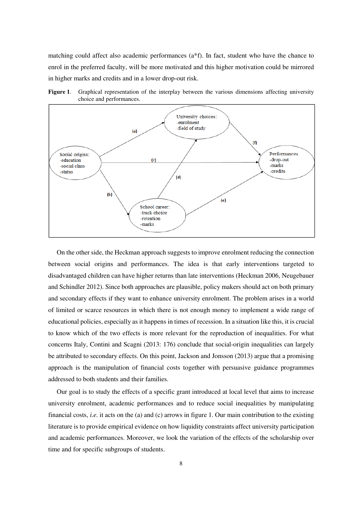matching could affect also academic performances (a\*f). In fact, student who have the chance to enrol in the preferred faculty, will be more motivated and this higher motivation could be mirrored in higher marks and credits and in a lower drop-out risk.



**Figure 1**. Graphical representation of the interplay between the various dimensions affecting university choice and performances.

On the other side, the Heckman approach suggests to improve enrolment reducing the connection between social origins and performances. The idea is that early interventions targeted to disadvantaged children can have higher returns than late interventions (Heckman 2006, Neugebauer and Schindler 2012). Since both approaches are plausible, policy makers should act on both primary and secondary effects if they want to enhance university enrolment. The problem arises in a world of limited or scarce resources in which there is not enough money to implement a wide range of educational policies, especially as it happens in times of recession. In a situation like this, it is crucial to know which of the two effects is more relevant for the reproduction of inequalities. For what concerns Italy, Contini and Scagni (2013: 176) conclude that social-origin inequalities can largely be attributed to secondary effects. On this point, Jackson and Jonsson (2013) argue that a promising approach is the manipulation of financial costs together with persuasive guidance programmes addressed to both students and their families.

Our goal is to study the effects of a specific grant introduced at local level that aims to increase university enrolment, academic performances and to reduce social inequalities by manipulating financial costs, *i.e.* it acts on the (a) and (c) arrows in figure 1. Our main contribution to the existing literature is to provide empirical evidence on how liquidity constraints affect university participation and academic performances. Moreover, we look the variation of the effects of the scholarship over time and for specific subgroups of students.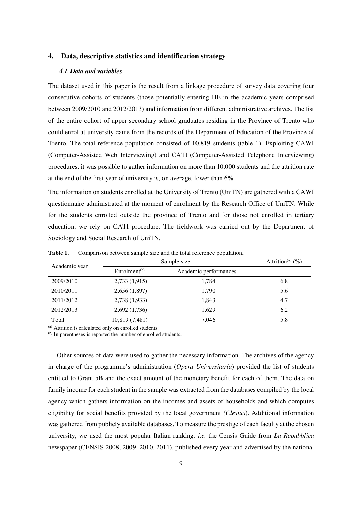## **4. Data, descriptive statistics and identification strategy**

#### *4.1.Data and variables*

The dataset used in this paper is the result from a linkage procedure of survey data covering four consecutive cohorts of students (those potentially entering HE in the academic years comprised between 2009/2010 and 2012/2013) and information from different administrative archives. The list of the entire cohort of upper secondary school graduates residing in the Province of Trento who could enrol at university came from the records of the Department of Education of the Province of Trento. The total reference population consisted of 10,819 students (table 1). Exploiting CAWI (Computer-Assisted Web Interviewing) and CATI (Computer-Assisted Telephone Interviewing) procedures, it was possible to gather information on more than 10,000 students and the attrition rate at the end of the first year of university is, on average, lower than 6%.

The information on students enrolled at the University of Trento (UniTN) are gathered with a CAWI questionnaire administrated at the moment of enrolment by the Research Office of UniTN. While for the students enrolled outside the province of Trento and for those not enrolled in tertiary education, we rely on CATI procedure. The fieldwork was carried out by the Department of Sociology and Social Research of UniTN.

|               | Sample size              | Attrition <sup>(a)</sup> $(\frac{9}{0})$ |     |
|---------------|--------------------------|------------------------------------------|-----|
| Academic year | Enrolment <sup>(b)</sup> | Academic performances                    |     |
| 2009/2010     | 2,733 (1,915)            | 1,784                                    | 6.8 |
| 2010/2011     | 2,656 (1,897)            | 1,790                                    | 5.6 |
| 2011/2012     | 2,738 (1,933)            | 1,843                                    | 4.7 |
| 2012/2013     | 2,692 (1,736)            | 1,629                                    | 6.2 |
| Total         | 10,819 (7,481)           | 7,046                                    | 5.8 |

**Table 1.** Comparison between sample size and the total reference population.

 $\overline{a}$  Attrition is calculated only on enrolled students.

(b) In parentheses is reported the number of enrolled students.

Other sources of data were used to gather the necessary information. The archives of the agency in charge of the programme's administration (*Opera Universitaria*) provided the list of students entitled to Grant 5B and the exact amount of the monetary benefit for each of them. The data on family income for each student in the sample was extracted from the databases compiled by the local agency which gathers information on the incomes and assets of households and which computes eligibility for social benefits provided by the local government *(Clesius*). Additional information was gathered from publicly available databases. To measure the prestige of each faculty at the chosen university, we used the most popular Italian ranking, *i.e.* the Censis Guide from *La Repubblica* newspaper (CENSIS 2008, 2009, 2010, 2011), published every year and advertised by the national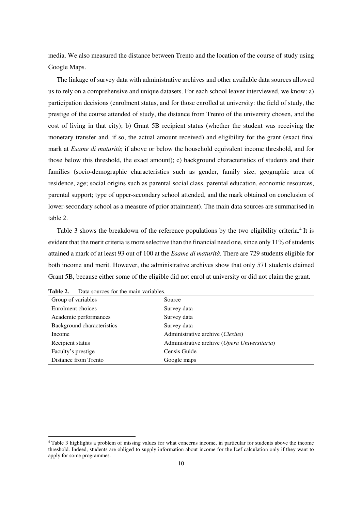media. We also measured the distance between Trento and the location of the course of study using Google Maps.

The linkage of survey data with administrative archives and other available data sources allowed us to rely on a comprehensive and unique datasets. For each school leaver interviewed, we know: a) participation decisions (enrolment status, and for those enrolled at university: the field of study, the prestige of the course attended of study, the distance from Trento of the university chosen, and the cost of living in that city); b) Grant 5B recipient status (whether the student was receiving the monetary transfer and, if so, the actual amount received) and eligibility for the grant (exact final mark at *Esame di maturità*; if above or below the household equivalent income threshold, and for those below this threshold, the exact amount); c) background characteristics of students and their families (socio-demographic characteristics such as gender, family size, geographic area of residence, age; social origins such as parental social class, parental education, economic resources, parental support; type of upper-secondary school attended, and the mark obtained on conclusion of lower-secondary school as a measure of prior attainment). The main data sources are summarised in table 2.

Table 3 shows the breakdown of the reference populations by the two eligibility criteria.<sup>4</sup> It is evident that the merit criteria is more selective than the financial need one, since only 11% of students attained a mark of at least 93 out of 100 at the *Esame di maturità*. There are 729 students eligible for both income and merit. However, the administrative archives show that only 571 students claimed Grant 5B, because either some of the eligible did not enrol at university or did not claim the grant.

| Group of variables         | Source                                       |
|----------------------------|----------------------------------------------|
| Enrolment choices          | Survey data                                  |
| Academic performances      | Survey data                                  |
| Background characteristics | Survey data                                  |
| Income                     | Administrative archive (Clesius)             |
| Recipient status           | Administrative archive (Opera Universitaria) |
| Faculty's prestige         | Censis Guide                                 |
| Distance from Trento       | Google maps                                  |
|                            |                                              |

**Table 2.** Data sources for the main variables.

l

<sup>4</sup> Table 3 highlights a problem of missing values for what concerns income, in particular for students above the income threshold. Indeed, students are obliged to supply information about income for the Icef calculation only if they want to apply for some programmes.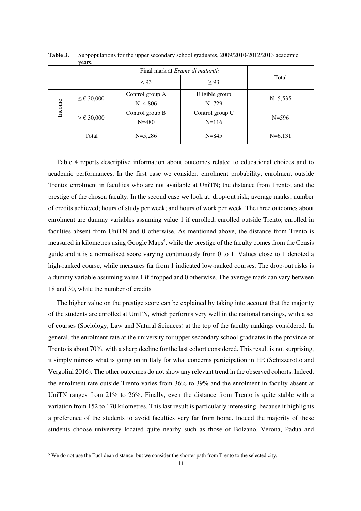|        | $- - - -$              |                                        |                 |             |  |
|--------|------------------------|----------------------------------------|-----------------|-------------|--|
|        |                        | Final mark at <i>Esame di maturità</i> |                 |             |  |
|        |                        | < 93                                   | $\geq$ 93       | Total       |  |
| Income | $\leq \epsilon$ 30,000 | Control group A                        | Eligible group  | $N = 5,535$ |  |
|        |                        | $N=4,806$                              | $N = 729$       |             |  |
|        | $>\epsilon$ 30,000     | Control group B                        | Control group C | $N = 596$   |  |
|        |                        | $N = 480$                              | $N = 116$       |             |  |
|        | Total                  | $N=5,286$                              | $N = 845$       | $N=6,131$   |  |

**Table 3.** Subpopulations for the upper secondary school graduates, 2009/2010-2012/2013 academic years.

Table 4 reports descriptive information about outcomes related to educational choices and to academic performances. In the first case we consider: enrolment probability; enrolment outside Trento; enrolment in faculties who are not available at UniTN; the distance from Trento; and the prestige of the chosen faculty. In the second case we look at: drop-out risk; average marks; number of credits achieved; hours of study per week; and hours of work per week. The three outcomes about enrolment are dummy variables assuming value 1 if enrolled, enrolled outside Trento, enrolled in faculties absent from UniTN and 0 otherwise. As mentioned above, the distance from Trento is measured in kilometres using Google Maps<sup>5</sup>, while the prestige of the faculty comes from the Censis guide and it is a normalised score varying continuously from 0 to 1. Values close to 1 denoted a high-ranked course, while measures far from 1 indicated low-ranked courses. The drop-out risks is a dummy variable assuming value 1 if dropped and 0 otherwise. The average mark can vary between 18 and 30, while the number of credits

The higher value on the prestige score can be explained by taking into account that the majority of the students are enrolled at UniTN, which performs very well in the national rankings, with a set of courses (Sociology, Law and Natural Sciences) at the top of the faculty rankings considered. In general, the enrolment rate at the university for upper secondary school graduates in the province of Trento is about 70%, with a sharp decline for the last cohort considered. This result is not surprising, it simply mirrors what is going on in Italy for what concerns participation in HE (Schizzerotto and Vergolini 2016). The other outcomes do not show any relevant trend in the observed cohorts. Indeed, the enrolment rate outside Trento varies from 36% to 39% and the enrolment in faculty absent at UniTN ranges from 21% to 26%. Finally, even the distance from Trento is quite stable with a variation from 152 to 170 kilometres. This last result is particularly interesting, because it highlights a preference of the students to avoid faculties very far from home. Indeed the majority of these students choose university located quite nearby such as those of Bolzano, Verona, Padua and

l

 $5$  We do not use the Euclidean distance, but we consider the shorter path from Trento to the selected city.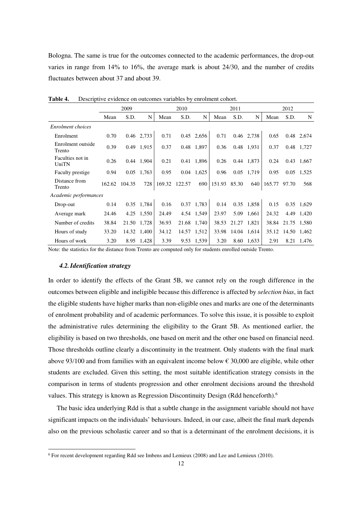Bologna. The same is true for the outcomes connected to the academic performances, the drop-out varies in range from 14% to 16%, the average mark is about 24/30, and the number of credits fluctuates between about 37 and about 39.

|                             | 2009   |        |             |        | 2010   |              |              | 2011        |            |        | 2012        |              |  |
|-----------------------------|--------|--------|-------------|--------|--------|--------------|--------------|-------------|------------|--------|-------------|--------------|--|
|                             | Mean   | S.D.   | N           | Mean   | S.D.   | N            | Mean         | S.D.        | N          | Mean   | S.D.        | N            |  |
| Enrolment choices           |        |        |             |        |        |              |              |             |            |        |             |              |  |
| Enrolment                   | 0.70   |        | 0.46 2,733  | 0.71   |        | 0.45 2,656   | 0.71         |             | 0.46 2,738 | 0.65   |             | 0.48 2,674   |  |
| Enrolment outside<br>Trento | 0.39   |        | 0.49 1.915  | 0.37   |        | 0.48 1,897   | 0.36         |             | 0.48 1,931 | 0.37   |             | 0.48 1,727   |  |
| Faculties not in<br>UniTN   | 0.26   |        | 0.44 1,904  | 0.21   |        | 0.41 1,896   | 0.26         |             | 0.44 1,873 | 0.24   |             | $0.43$ 1,667 |  |
| Faculty prestige            | 0.94   | 0.05   | 1,763       | 0.95   |        | $0.04$ 1,625 | 0.96         |             | 0.05 1,719 | 0.95   | 0.05        | 1,525        |  |
| Distance from<br>Trento     | 162.62 | 104.35 | 728         | 169.32 | 122.57 | 690          | 151.93 85.30 |             | 640        | 165.77 | 97.70       | 568          |  |
| Academic performances       |        |        |             |        |        |              |              |             |            |        |             |              |  |
| Drop-out                    | 0.14   |        | 0.35 1,784  | 0.16   |        | 0.37 1,783   | 0.14         |             | 0.35 1,858 | 0.15   |             | 0.35 1,629   |  |
| Average mark                | 24.46  |        | 4.25 1,550  | 24.49  |        | 4.54 1,549   | 23.97        |             | 5.09 1,661 | 24.32  |             | 4.49 1,420   |  |
| Number of credits           | 38.84  |        | 21.50 1,728 | 36.93  |        | 21.68 1,740  | 38.53        | 21.27 1,821 |            | 38.84  | 21.75       | 1.580        |  |
| Hours of study              | 33.20  |        | 14.32 1,400 | 34.12  |        | 14.57 1,512  | 33.98        | 14.04 1,614 |            | 35.12  | 14.50 1,462 |              |  |
| Hours of work               | 3.20   | 8.95   | 1,428       | 3.39   |        | 9.53 1,539   | 3.20         | 8.60        | 1,633      | 2.91   | 8.21        | 1,476        |  |

Table 4. Descriptive evidence on outcomes variables by enrolment cohort.

Note: the statistics for the distance from Trento are computed only for students enrolled outside Trento.

#### *4.2.Identification strategy*

l

In order to identify the effects of the Grant 5B, we cannot rely on the rough difference in the outcomes between eligible and ineligible because this difference is affected by *selection bias*, in fact the eligible students have higher marks than non-eligible ones and marks are one of the determinants of enrolment probability and of academic performances. To solve this issue, it is possible to exploit the administrative rules determining the eligibility to the Grant 5B. As mentioned earlier, the eligibility is based on two thresholds, one based on merit and the other one based on financial need. Those thresholds outline clearly a discontinuity in the treatment. Only students with the final mark above 93/100 and from families with an equivalent income below  $\epsilon$  30,000 are eligible, while other students are excluded. Given this setting, the most suitable identification strategy consists in the comparison in terms of students progression and other enrolment decisions around the threshold values. This strategy is known as Regression Discontinuity Design (Rdd henceforth).<sup>6</sup>

The basic idea underlying Rdd is that a subtle change in the assignment variable should not have significant impacts on the individuals' behaviours. Indeed, in our case, albeit the final mark depends also on the previous scholastic career and so that is a determinant of the enrolment decisions, it is

<sup>6</sup> For recent development regarding Rdd see Imbens and Lemieux (2008) and Lee and Lemieux (2010).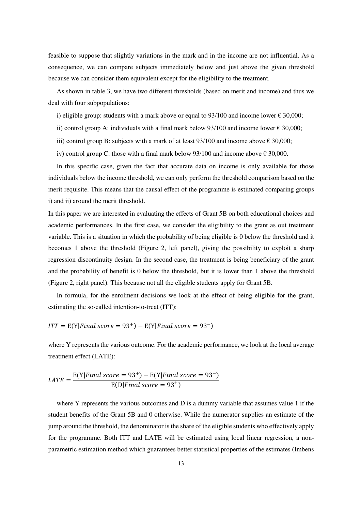feasible to suppose that slightly variations in the mark and in the income are not influential. As a consequence, we can compare subjects immediately below and just above the given threshold because we can consider them equivalent except for the eligibility to the treatment.

As shown in table 3, we have two different thresholds (based on merit and income) and thus we deal with four subpopulations:

i) eligible group: students with a mark above or equal to  $93/100$  and income lower  $\epsilon$  30,000;

ii) control group A: individuals with a final mark below 93/100 and income lower  $\epsilon$  30,000;

iii) control group B: subjects with a mark of at least 93/100 and income above  $\epsilon$  30,000;

iv) control group C: those with a final mark below 93/100 and income above  $\epsilon$  30,000.

In this specific case, given the fact that accurate data on income is only available for those individuals below the income threshold, we can only perform the threshold comparison based on the merit requisite. This means that the causal effect of the programme is estimated comparing groups i) and ii) around the merit threshold.

In this paper we are interested in evaluating the effects of Grant 5B on both educational choices and academic performances. In the first case, we consider the eligibility to the grant as out treatment variable. This is a situation in which the probability of being eligible is 0 below the threshold and it becomes 1 above the threshold (Figure 2, left panel), giving the possibility to exploit a sharp regression discontinuity design. In the second case, the treatment is being beneficiary of the grant and the probability of benefit is 0 below the threshold, but it is lower than 1 above the threshold (Figure 2, right panel). This because not all the eligible students apply for Grant 5B.

In formula, for the enrolment decisions we look at the effect of being eligible for the grant, estimating the so-called intention-to-treat (ITT):

 $ITT = E(Y|Final score = 93^+) - E(Y|Final score = 93^-)$ 

where Y represents the various outcome. For the academic performance, we look at the local average treatment effect (LATE):

$$
LATE = \frac{E(Y|Final\ score = 93^{+}) - E(Y|Final\ score = 93^{-})}{E(D|Final\ score = 93^{+})}
$$

where Y represents the various outcomes and  $D$  is a dummy variable that assumes value 1 if the student benefits of the Grant 5B and 0 otherwise. While the numerator supplies an estimate of the jump around the threshold, the denominator is the share of the eligible students who effectively apply for the programme. Both ITT and LATE will be estimated using local linear regression, a nonparametric estimation method which guarantees better statistical properties of the estimates (Imbens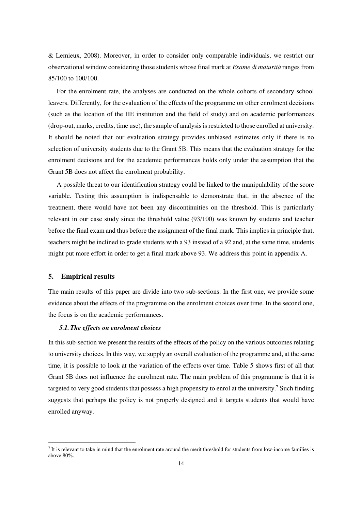& Lemieux, 2008). Moreover, in order to consider only comparable individuals, we restrict our observational window considering those students whose final mark at *Esame di maturità* ranges from 85/100 to 100/100.

For the enrolment rate, the analyses are conducted on the whole cohorts of secondary school leavers. Differently, for the evaluation of the effects of the programme on other enrolment decisions (such as the location of the HE institution and the field of study) and on academic performances (drop-out, marks, credits, time use), the sample of analysis is restricted to those enrolled at university. It should be noted that our evaluation strategy provides unbiased estimates only if there is no selection of university students due to the Grant 5B. This means that the evaluation strategy for the enrolment decisions and for the academic performances holds only under the assumption that the Grant 5B does not affect the enrolment probability.

A possible threat to our identification strategy could be linked to the manipulability of the score variable. Testing this assumption is indispensable to demonstrate that, in the absence of the treatment, there would have not been any discontinuities on the threshold. This is particularly relevant in our case study since the threshold value (93/100) was known by students and teacher before the final exam and thus before the assignment of the final mark. This implies in principle that, teachers might be inclined to grade students with a 93 instead of a 92 and, at the same time, students might put more effort in order to get a final mark above 93. We address this point in appendix A.

### **5. Empirical results**

 $\overline{a}$ 

The main results of this paper are divide into two sub-sections. In the first one, we provide some evidence about the effects of the programme on the enrolment choices over time. In the second one, the focus is on the academic performances.

#### *5.1.The effects on enrolment choices*

In this sub-section we present the results of the effects of the policy on the various outcomes relating to university choices. In this way, we supply an overall evaluation of the programme and, at the same time, it is possible to look at the variation of the effects over time. Table 5 shows first of all that Grant 5B does not influence the enrolment rate. The main problem of this programme is that it is targeted to very good students that possess a high propensity to enrol at the university.<sup>7</sup> Such finding suggests that perhaps the policy is not properly designed and it targets students that would have enrolled anyway.

 $<sup>7</sup>$  It is relevant to take in mind that the enrolment rate around the merit threshold for students from low-income families is</sup> above 80%.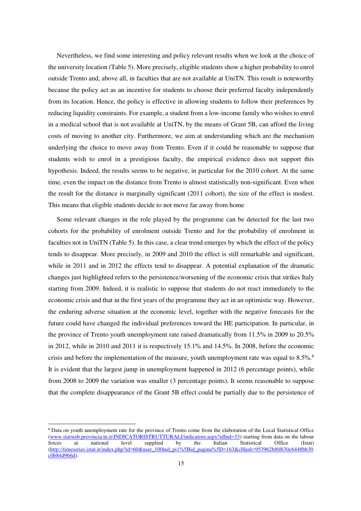Nevertheless, we find some interesting and policy relevant results when we look at the choice of the university location (Table 5). More precisely, eligible students show a higher probability to enrol outside Trento and, above all, in faculties that are not available at UniTN. This result is noteworthy because the policy act as an incentive for students to choose their preferred faculty independently from its location. Hence, the policy is effective in allowing students to follow their preferences by reducing liquidity constraints. For example, a student from a low-income family who wishes to enrol in a medical school that is not available at UniTN, by the means of Grant 5B, can afford the living costs of moving to another city. Furthermore, we aim at understanding which are the mechanism underlying the choice to move away from Trento. Even if it could be reasonable to suppose that students wish to enrol in a prestigious faculty, the empirical evidence does not support this hypothesis. Indeed, the results seems to be negative, in particular for the 2010 cohort. At the same time, even the impact on the distance from Trento is almost statistically non-significant. Even when the result for the distance is marginally significant (2011 cohort), the size of the effect is modest. This means that eligible students decide to not move far away from home

Some relevant changes in the role played by the programme can be detected for the last two cohorts for the probability of enrolment outside Trento and for the probability of enrolment in faculties not in UniTN (Table 5). In this case, a clear trend emerges by which the effect of the policy tends to disappear. More precisely, in 2009 and 2010 the effect is still remarkable and significant, while in 2011 and in 2012 the effects tend to disappear. A potential explanation of the dramatic changes just highlighted refers to the persistence/worsening of the economic crisis that strikes Italy starting from 2009. Indeed, it is realistic to suppose that students do not react immediately to the economic crisis and that in the first years of the programme they act in an optimistic way. However, the enduring adverse situation at the economic level, together with the negative forecasts for the future could have changed the individual preferences toward the HE participation. In particular, in the province of Trento youth unemployment rate raised dramatically from 11.5% in 2009 to 20.5% in 2012, while in 2010 and 2011 it is respectively 15.1% and 14.5%. In 2008, before the economic crisis and before the implementation of the measure, youth unemployment rate was equal to  $8.5\%$ .<sup>8</sup> It is evident that the largest jump in unemployment happened in 2012 (6 percentage points), while from 2008 to 2009 the variation was smaller (3 percentage points). It seems reasonable to suppose that the complete disappearance of the Grant 5B effect could be partially due to the persistence of

 $\overline{a}$ 

<sup>&</sup>lt;sup>8</sup> Data on youth unemployment rate for the province of Trento come from the elaboration of the Local Statistical Office (www.statweb.provincia.tn.it/INDICATORISTRUTTURALI/indicatore.aspx?idInd=33) starting from data on the labour forces at national level supplied by the Italian Statistical Office (Istat) (http://timeseries.istat.it/index.php?id=60&user\_100ind\_pi1%5Bid\_pagina%5D=163&cHash=953962bf6f630c6448bb30 c0b84d966d).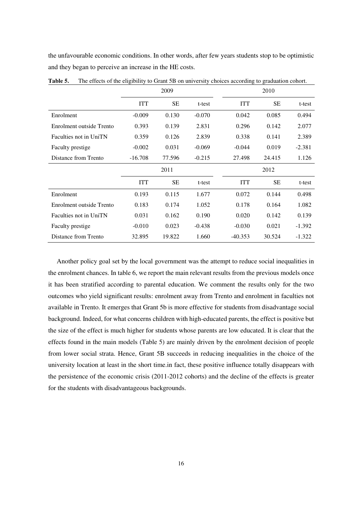the unfavourable economic conditions. In other words, after few years students stop to be optimistic and they began to perceive an increase in the HE costs.

|                          | 2009       |           |          |            | 2010      |          |  |  |
|--------------------------|------------|-----------|----------|------------|-----------|----------|--|--|
|                          | <b>ITT</b> | <b>SE</b> | t-test   | <b>ITT</b> | <b>SE</b> | t-test   |  |  |
| Enrolment                | $-0.009$   | 0.130     | $-0.070$ | 0.042      | 0.085     | 0.494    |  |  |
| Enrolment outside Trento | 0.393      | 0.139     | 2.831    | 0.296      | 0.142     | 2.077    |  |  |
| Faculties not in UniTN   | 0.359      | 0.126     | 2.839    | 0.338      | 0.141     | 2.389    |  |  |
| <b>Faculty prestige</b>  | $-0.002$   | 0.031     | $-0.069$ | $-0.044$   | 0.019     | $-2.381$ |  |  |
| Distance from Trento     | $-16.708$  | 77.596    | $-0.215$ | 27.498     | 24.415    | 1.126    |  |  |
|                          | 2011       |           |          |            | 2012      |          |  |  |
|                          | <b>ITT</b> | <b>SE</b> | t-test   | <b>ITT</b> | <b>SE</b> | t-test   |  |  |
| Enrolment                | 0.193      | 0.115     | 1.677    | 0.072      | 0.144     | 0.498    |  |  |
| Enrolment outside Trento | 0.183      | 0.174     | 1.052    | 0.178      | 0.164     | 1.082    |  |  |
| Faculties not in UniTN   | 0.031      | 0.162     | 0.190    | 0.020      | 0.142     | 0.139    |  |  |
| Faculty prestige         | $-0.010$   | 0.023     | $-0.438$ | $-0.030$   | 0.021     | $-1.392$ |  |  |
| Distance from Trento     | 32.895     | 19.822    | 1.660    | $-40.353$  | 30.524    | $-1.322$ |  |  |

**Table 5.** The effects of the eligibility to Grant 5B on university choices according to graduation cohort.

Another policy goal set by the local government was the attempt to reduce social inequalities in the enrolment chances. In table 6, we report the main relevant results from the previous models once it has been stratified according to parental education. We comment the results only for the two outcomes who yield significant results: enrolment away from Trento and enrolment in faculties not available in Trento. It emerges that Grant 5b is more effective for students from disadvantage social background. Indeed, for what concerns children with high-educated parents, the effect is positive but the size of the effect is much higher for students whose parents are low educated. It is clear that the effects found in the main models (Table 5) are mainly driven by the enrolment decision of people from lower social strata. Hence, Grant 5B succeeds in reducing inequalities in the choice of the university location at least in the short time.in fact, these positive influence totally disappears with the persistence of the economic crisis (2011-2012 cohorts) and the decline of the effects is greater for the students with disadvantageous backgrounds.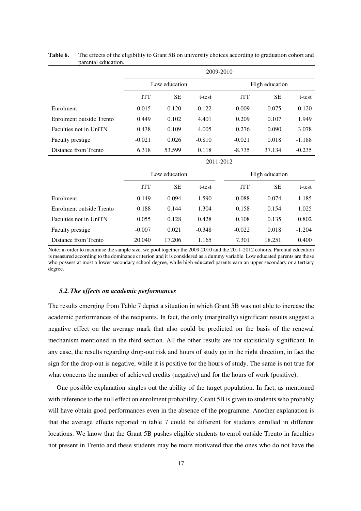|                          |            | 2009-2010     |          |            |                |          |  |  |  |  |  |
|--------------------------|------------|---------------|----------|------------|----------------|----------|--|--|--|--|--|
|                          |            | Low education |          |            | High education |          |  |  |  |  |  |
|                          | <b>ITT</b> | SE            | t-test   | <b>ITT</b> | <b>SE</b>      | t-test   |  |  |  |  |  |
| Enrolment                | $-0.015$   | 0.120         | $-0.122$ | 0.009      | 0.075          | 0.120    |  |  |  |  |  |
| Enrolment outside Trento | 0.449      | 0.102         | 4.401    | 0.209      | 0.107          | 1.949    |  |  |  |  |  |
| Faculties not in UniTN   | 0.438      | 0.109         | 4.005    | 0.276      | 0.090          | 3.078    |  |  |  |  |  |
| <b>Faculty prestige</b>  | $-0.021$   | 0.026         | $-0.810$ | $-0.021$   | 0.018          | $-1.188$ |  |  |  |  |  |
| Distance from Trento     | 6.318      | 53.599        | 0.118    | $-8.735$   | 37.134         | $-0.235$ |  |  |  |  |  |

#### **Table 6.** The effects of the eligibility to Grant 5B on university choices according to graduation cohort and parental education.

|                          | 2011-2012  |               |          |                |        |          |  |  |  |
|--------------------------|------------|---------------|----------|----------------|--------|----------|--|--|--|
|                          |            | Low education |          | High education |        |          |  |  |  |
|                          | <b>ITT</b> | SЕ            | t-test   | <b>ITT</b>     | SЕ     | t-test   |  |  |  |
| Enrolment                | 0.149      | 0.094         | 1.590    | 0.088          | 0.074  | 1.185    |  |  |  |
| Enrolment outside Trento | 0.188      | 0.144         | 1.304    | 0.158          | 0.154  | 1.025    |  |  |  |
| Faculties not in UniTN   | 0.055      | 0.128         | 0.428    | 0.108          | 0.135  | 0.802    |  |  |  |
| Faculty prestige         | $-0.007$   | 0.021         | $-0.348$ | $-0.022$       | 0.018  | $-1.204$ |  |  |  |
| Distance from Trento     | 20.040     | 17.206        | 1.165    | 7.301          | 18.251 | 0.400    |  |  |  |

Note: in order to maximise the sample size, we pool together the 2009-2010 and the 2011-2012 cohorts. Parental education is measured according to the dominance criterion and it is considered as a dummy variable. Low educated parents are those who possess at most a lower secondary school degree, while high educated parents earn an upper secondary or a tertiary degree.

#### *5.2.The effects on academic performances*

The results emerging from Table 7 depict a situation in which Grant 5B was not able to increase the academic performances of the recipients. In fact, the only (marginally) significant results suggest a negative effect on the average mark that also could be predicted on the basis of the renewal mechanism mentioned in the third section. All the other results are not statistically significant. In any case, the results regarding drop-out risk and hours of study go in the right direction, in fact the sign for the drop-out is negative, while it is positive for the hours of study. The same is not true for what concerns the number of achieved credits (negative) and for the hours of work (positive).

One possible explanation singles out the ability of the target population. In fact, as mentioned with reference to the null effect on enrolment probability, Grant 5B is given to students who probably will have obtain good performances even in the absence of the programme. Another explanation is that the average effects reported in table 7 could be different for students enrolled in different locations. We know that the Grant 5B pushes eligible students to enrol outside Trento in faculties not present in Trento and these students may be more motivated that the ones who do not have the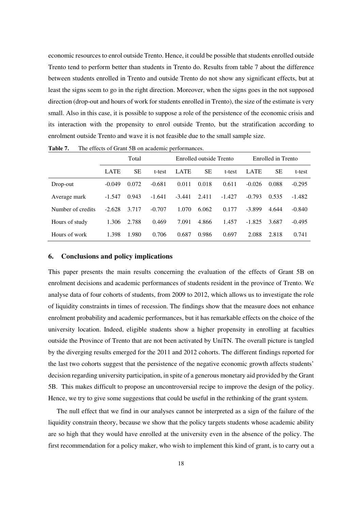economic resources to enrol outside Trento. Hence, it could be possible that students enrolled outside Trento tend to perform better than students in Trento do. Results from table 7 about the difference between students enrolled in Trento and outside Trento do not show any significant effects, but at least the signs seem to go in the right direction. Moreover, when the signs goes in the not supposed direction (drop-out and hours of work for students enrolled in Trento), the size of the estimate is very small. Also in this case, it is possible to suppose a role of the persistence of the economic crisis and its interaction with the propensity to enrol outside Trento, but the stratification according to enrolment outside Trento and wave it is not feasible due to the small sample size.

|                   | Total       |           |          | Enrolled outside Trento |       |          | Enrolled in Trento |       |          |
|-------------------|-------------|-----------|----------|-------------------------|-------|----------|--------------------|-------|----------|
|                   | <b>LATE</b> | <b>SE</b> | t-test   | LATE                    | SЕ    | t-test   | LATE               | SЕ    | t-test   |
| Drop-out          | $-0.049$    | 0.072     | $-0.681$ | 0.011                   | 0.018 | 0.611    | $-0.026$           | 0.088 | $-0.295$ |
| Average mark      | $-1.547$    | 0.943     | $-1.641$ | $-3.441$                | 2.411 | $-1.427$ | $-0.793$           | 0.535 | $-1.482$ |
| Number of credits | $-2.628$    | 3.717     | $-0.707$ | 1.070                   | 6.062 | 0.177    | $-3.899$           | 4.644 | $-0.840$ |
| Hours of study    | 1.306       | 2.788     | 0.469    | 7.091                   | 4.866 | 1.457    | $-1.825$           | 3.687 | $-0.495$ |
| Hours of work     | 1.398       | 1.980     | 0.706    | 0.687                   | 0.986 | 0.697    | 2.088              | 2.818 | 0.741    |

Table 7. The effects of Grant 5B on academic performances.

#### **6. Conclusions and policy implications**

This paper presents the main results concerning the evaluation of the effects of Grant 5B on enrolment decisions and academic performances of students resident in the province of Trento. We analyse data of four cohorts of students, from 2009 to 2012, which allows us to investigate the role of liquidity constraints in times of recession. The findings show that the measure does not enhance enrolment probability and academic performances, but it has remarkable effects on the choice of the university location. Indeed, eligible students show a higher propensity in enrolling at faculties outside the Province of Trento that are not been activated by UniTN. The overall picture is tangled by the diverging results emerged for the 2011 and 2012 cohorts. The different findings reported for the last two cohorts suggest that the persistence of the negative economic growth affects students' decision regarding university participation, in spite of a generous monetary aid provided by the Grant 5B. This makes difficult to propose an uncontroversial recipe to improve the design of the policy. Hence, we try to give some suggestions that could be useful in the rethinking of the grant system.

The null effect that we find in our analyses cannot be interpreted as a sign of the failure of the liquidity constrain theory, because we show that the policy targets students whose academic ability are so high that they would have enrolled at the university even in the absence of the policy. The first recommendation for a policy maker, who wish to implement this kind of grant, is to carry out a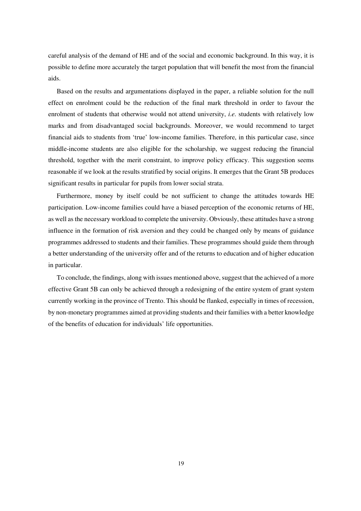careful analysis of the demand of HE and of the social and economic background. In this way, it is possible to define more accurately the target population that will benefit the most from the financial aids.

Based on the results and argumentations displayed in the paper, a reliable solution for the null effect on enrolment could be the reduction of the final mark threshold in order to favour the enrolment of students that otherwise would not attend university, *i.e.* students with relatively low marks and from disadvantaged social backgrounds. Moreover, we would recommend to target financial aids to students from 'true' low-income families. Therefore, in this particular case, since middle-income students are also eligible for the scholarship, we suggest reducing the financial threshold, together with the merit constraint, to improve policy efficacy. This suggestion seems reasonable if we look at the results stratified by social origins. It emerges that the Grant 5B produces significant results in particular for pupils from lower social strata.

Furthermore, money by itself could be not sufficient to change the attitudes towards HE participation. Low-income families could have a biased perception of the economic returns of HE, as well as the necessary workload to complete the university. Obviously, these attitudes have a strong influence in the formation of risk aversion and they could be changed only by means of guidance programmes addressed to students and their families. These programmes should guide them through a better understanding of the university offer and of the returns to education and of higher education in particular.

To conclude, the findings, along with issues mentioned above, suggest that the achieved of a more effective Grant 5B can only be achieved through a redesigning of the entire system of grant system currently working in the province of Trento. This should be flanked, especially in times of recession, by non-monetary programmes aimed at providing students and their families with a better knowledge of the benefits of education for individuals' life opportunities.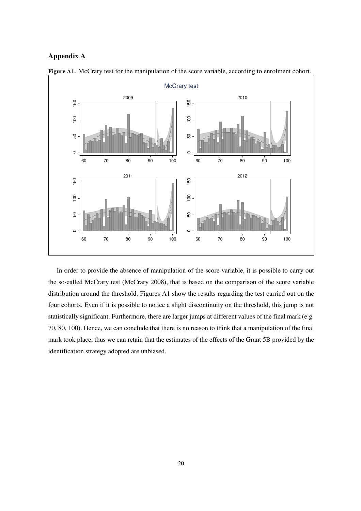## **Appendix A**



Figure A1. McCrary test for the manipulation of the score variable, according to enrolment cohort.

In order to provide the absence of manipulation of the score variable, it is possible to carry out the so-called McCrary test (McCrary 2008), that is based on the comparison of the score variable distribution around the threshold. Figures A1 show the results regarding the test carried out on the four cohorts. Even if it is possible to notice a slight discontinuity on the threshold, this jump is not statistically significant. Furthermore, there are larger jumps at different values of the final mark (e.g. 70, 80, 100). Hence, we can conclude that there is no reason to think that a manipulation of the final mark took place, thus we can retain that the estimates of the effects of the Grant 5B provided by the identification strategy adopted are unbiased.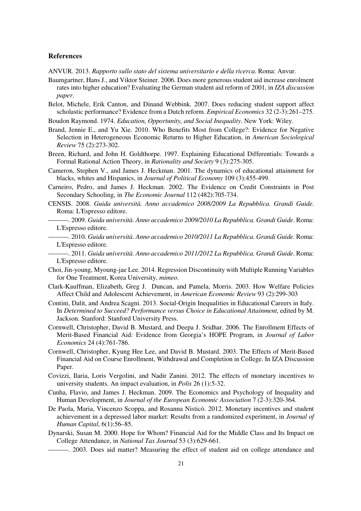#### **References**

ANVUR. 2013. *Rapporto sullo stato del sistema universitario e della ricerca*. Roma: Anvur.

Baumgartner, Hans J., and Viktor Steiner. 2006. Does more generous student aid increase enrolment rates into higher education? Evaluating the German student aid reform of 2001, in *IZA discussion paper*.

Belot, Michele, Erik Canton, and Dinand Webbink. 2007. Does reducing student support affect scholastic performance? Evidence from a Dutch reform. *Empirical Economics* 32 (2-3):261–275.

Boudon Raymond. 1974. *Education, Opportunity, and Social Inequality*. New York: Wiley.

- Brand, Jennie E., and Yu Xie. 2010. Who Benefits Most from College?: Evidence for Negative Selection in Heterogeneous Economic Returns to Higher Education, in *American Sociological Review* 75 (2):273-302.
- Breen, Richard, and John H. Goldthorpe. 1997. Explaining Educational Differentials: Towards a Formal Rational Action Theory, in *Rationality and Society* 9 (3):275-305.
- Cameron, Stephen V., and James J. Heckman. 2001. The dynamics of educational attainment for blacks, whites and Hispanics, in *Journal of Political Economy* 109 (3):455-499.
- Carneiro, Pedro, and James J. Heckman. 2002. The Evidence on Credit Constraints in Post Secondary Schooling, in *The Economic Journal* 112 (482):705-734.
- CENSIS. 2008. *Guida università. Anno accademico 2008/2009 La Repubblica. Grandi Guide*. Roma: L'Espresso editore.
	- ———. 2009. *Guida università. Anno accademico 2009/2010 La Repubblica. Grandi Guide*. Roma: L'Espresso editore.
	- ———. 2010. *Guida università. Anno accademico 2010/2011 La Repubblica. Grandi Guide*. Roma: L'Espresso editore.
	- ———. 2011. *Guida università. Anno accademico 2011/2012 La Repubblica. Grandi Guide*. Roma: L'Espresso editore.
- Choi, Jin-young, Myoung-jae Lee. 2014. Regression Discontinuity with Multiple Running Variables for One Treatment, Korea University, *mimeo*.
- Clark-Kauffman, Elizabeth, Greg J. Duncan, and Pamela, Morris. 2003. How Welfare Policies Affect Child and Adolescent Achievement, in *American Economic Review* 93 (2):299-303
- Contini, Dalit, and Andrea Scagni. 2013. Social-Origin Inequalities in Educational Careers in Italy. In *Determined to Succeed? Performance versus Choice in Educational Attainment*, edited by M. Jackson. Stanford: Stanford University Press.
- Cornwell, Christopher, David B. Mustard, and Deepa J. Sridhar. 2006. The Enrollment Effects of Merit-Based Financial Aid: Evidence from Georgia's HOPE Program, in *Journal of Labor Economics* 24 (4):761-786.
- Cornwell, Christopher, Kyung Hee Lee, and David B. Mustard. 2003. The Effects of Merit-Based Financial Aid on Course Enrollment, Withdrawal and Completion in College. In IZA Discussion Paper.
- Covizzi, Ilaria, Loris Vergolini, and Nadir Zanini. 2012. The effects of monetary incentives to university students. An impact evaluation, in *Polis* 26 (1):5-32.
- Cunha, Flavio, and James J. Heckman. 2009. The Economics and Psychology of Inequality and Human Development, in *Journal of the European Economic Association* 7 (2-3):320-364.
- De Paola, Maria, Vincenzo Scoppa, and Rosanna Nisticò. 2012. Monetary incentives and student achievement in a depressed labor market: Results from a randomized experiment, in *Journal of Human Capital*, 6(1):56–85.
- Dynarski, Susan M. 2000. Hope for Whom? Financial Aid for the Middle Class and Its Impact on College Attendance, in *National Tax Journal* 53 (3):629-661.
	- ———. 2003. Does aid matter? Measuring the effect of student aid on college attendance and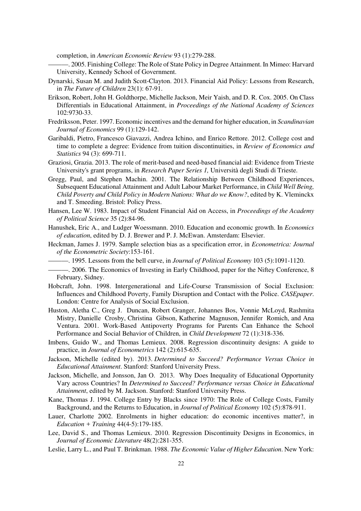completion, in *American Economic Review* 93 (1):279-288.

- ———. 2005. Finishing College: The Role of State Policy in Degree Attainment. In Mimeo: Harvard University, Kennedy School of Government.
- Dynarski, Susan M. and Judith Scott-Clayton. 2013. Financial Aid Policy: Lessons from Research, in *The Future of Children* 23(1): 67-91.
- Erikson, Robert, John H. Goldthorpe, Michelle Jackson, Meir Yaish, and D. R. Cox. 2005. On Class Differentials in Educational Attainment, in *Proceedings of the National Academy of Sciences*  102:9730-33.
- Fredriksson, Peter. 1997. Economic incentives and the demand for higher education, in *Scandinavian Journal of Economics* 99 (1):129-142.
- Garibaldi, Pietro, Francesco Giavazzi, Andrea Ichino, and Enrico Rettore. 2012. College cost and time to complete a degree: Evidence from tuition discontinuities, in *Review of Economics and Statistics* 94 (3): 699-711.
- Graziosi, Grazia. 2013. The role of merit-based and need-based financial aid: Evidence from Trieste University's grant programs, in *Research Paper Series 1,* Università degli Studi di Trieste.
- Gregg, Paul, and Stephen Machin. 2001. The Relationship Between Childhood Experiences, Subsequent Educational Attainment and Adult Labour Market Performance, in *Child Well Being, Child Poverty and Child Policy in Modern Nations: What do we Know?*, edited by K. Vleminckx and T. Smeeding. Bristol: Policy Press.
- Hansen, Lee W. 1983. Impact of Student Financial Aid on Access, in *Proceedings of the Academy of Political Science* 35 (2):84-96.
- Hanushek, Eric A., and Ludger Woessmann. 2010. Education and economic growth. In *Economics of education*, edited by D. J. Brewer and P. J. McEwan. Amsterdam: Elsevier.
- Heckman, James J. 1979. Sample selection bias as a specification error, in *Econometrica: Journal of the Econometric Society*:153-161.
	- ———. 1995. Lessons from the bell curve, in *Journal of Political Economy* 103 (5):1091-1120.
- ———. 2006. The Economics of Investing in Early Childhood, paper for the Niftey Conference, 8 February, Sidney.
- Hobcraft, John. 1998. Intergenerational and Life-Course Transmission of Social Exclusion: Influences and Childhood Poverty, Family Disruption and Contact with the Police. *CASEpaper*. London: Centre for Analysis of Social Exclusion.
- Huston, Aletha C., Greg J. Duncan, Robert Granger, Johannes Bos, Vonnie McLoyd, Rashmita Mistry, Danielle Crosby, Christina Gibson, Katherine Magnuson, Jennifer Romich, and Ana Ventura. 2001. Work-Based Antipoverty Programs for Parents Can Enhance the School Performance and Social Behavior of Children, in *Child Development* 72 (1):318-336.
- Imbens, Guido W., and Thomas Lemieux. 2008. Regression discontinuity designs: A guide to practice, in *Journal of Econometrics* 142 (2):615-635.
- Jackson, Michelle (edited by). 2013. *Determined to Succeed? Performance Versus Choice in Educational Attainment*. Stanford: Stanford University Press.
- Jackson, Michelle, and Jonsson, Jan O. 2013. Why Does Inequality of Educational Opportunity Vary across Countries? In *Determined to Succeed? Performance versus Choice in Educational Attainment*, edited by M. Jackson. Stanford: Stanford University Press.
- Kane, Thomas J. 1994. College Entry by Blacks since 1970: The Role of College Costs, Family Background, and the Returns to Education, in *Journal of Political Economy* 102 (5):878-911.
- Lauer, Charlotte 2002. Enrolments in higher education: do economic incentives matter?, in *Education + Training* 44(4-5):179-185.
- Lee, David S., and Thomas Lemieux. 2010. Regression Discontinuity Designs in Economics, in *Journal of Economic Literature* 48(2):281-355.
- Leslie, Larry L., and Paul T. Brinkman. 1988. *The Economic Value of Higher Education*. New York: